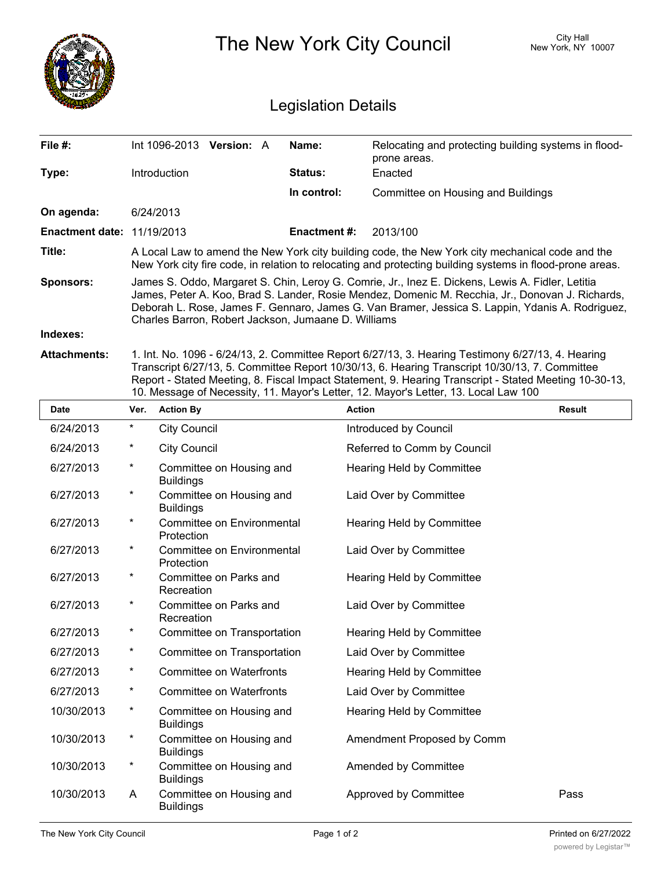|                                   |                                                                                                                                                                                                                                                                                                                                                                | City Hall<br>The New York City Council<br>New York, NY 10007 |                                                                                                   |  |  |  |
|-----------------------------------|----------------------------------------------------------------------------------------------------------------------------------------------------------------------------------------------------------------------------------------------------------------------------------------------------------------------------------------------------------------|--------------------------------------------------------------|---------------------------------------------------------------------------------------------------|--|--|--|
|                                   | <b>Legislation Details</b>                                                                                                                                                                                                                                                                                                                                     |                                                              |                                                                                                   |  |  |  |
| File #:                           | Int 1096-2013 Version: A                                                                                                                                                                                                                                                                                                                                       | Name:                                                        | Relocating and protecting building systems in flood-<br>prone areas.                              |  |  |  |
| Type:                             | Introduction                                                                                                                                                                                                                                                                                                                                                   | <b>Status:</b>                                               | Enacted                                                                                           |  |  |  |
|                                   |                                                                                                                                                                                                                                                                                                                                                                | In control:                                                  | Committee on Housing and Buildings                                                                |  |  |  |
| On agenda:                        | 6/24/2013                                                                                                                                                                                                                                                                                                                                                      |                                                              |                                                                                                   |  |  |  |
| <b>Enactment date: 11/19/2013</b> |                                                                                                                                                                                                                                                                                                                                                                | <b>Enactment #:</b>                                          | 2013/100                                                                                          |  |  |  |
| Title:                            | A Local Law to amend the New York city building code, the New York city mechanical code and the<br>New York city fire code, in relation to relocating and protecting building systems in flood-prone areas.                                                                                                                                                    |                                                              |                                                                                                   |  |  |  |
| <b>Sponsors:</b>                  | James S. Oddo, Margaret S. Chin, Leroy G. Comrie, Jr., Inez E. Dickens, Lewis A. Fidler, Letitia<br>James, Peter A. Koo, Brad S. Lander, Rosie Mendez, Domenic M. Recchia, Jr., Donovan J. Richards,<br>Deborah L. Rose, James F. Gennaro, James G. Van Bramer, Jessica S. Lappin, Ydanis A. Rodriguez,<br>Charles Barron, Robert Jackson, Jumaane D. Williams |                                                              |                                                                                                   |  |  |  |
| Indexes:                          |                                                                                                                                                                                                                                                                                                                                                                |                                                              |                                                                                                   |  |  |  |
| Attachments:                      |                                                                                                                                                                                                                                                                                                                                                                |                                                              | 1. Int. No. 1096 - 6/24/13, 2. Committee Report 6/27/13, 3. Hearing Testimony 6/27/13, 4. Hearing |  |  |  |

Transcript 6/27/13, 5. Committee Report 10/30/13, 6. Hearing Transcript 10/30/13, 7. Committee Report - Stated Meeting, 8. Fiscal Impact Statement, 9. Hearing Transcript - Stated Meeting 10-30-13, 10. Message of Necessity, 11. Mayor's Letter, 12. Mayor's Letter, 13. Local Law 100

| <b>Date</b> | Ver.    | <b>Action By</b>                             | <b>Action</b>                    | <b>Result</b> |
|-------------|---------|----------------------------------------------|----------------------------------|---------------|
| 6/24/2013   | $\star$ | <b>City Council</b>                          | Introduced by Council            |               |
| 6/24/2013   | $^\ast$ | <b>City Council</b>                          | Referred to Comm by Council      |               |
| 6/27/2013   | $\star$ | Committee on Housing and<br><b>Buildings</b> | Hearing Held by Committee        |               |
| 6/27/2013   | $\star$ | Committee on Housing and<br><b>Buildings</b> | Laid Over by Committee           |               |
| 6/27/2013   | $\star$ | Committee on Environmental<br>Protection     | <b>Hearing Held by Committee</b> |               |
| 6/27/2013   | $\star$ | Committee on Environmental<br>Protection     | Laid Over by Committee           |               |
| 6/27/2013   | $\star$ | Committee on Parks and<br>Recreation         | Hearing Held by Committee        |               |
| 6/27/2013   | $\star$ | Committee on Parks and<br>Recreation         | Laid Over by Committee           |               |
| 6/27/2013   | $^\ast$ | Committee on Transportation                  | Hearing Held by Committee        |               |
| 6/27/2013   | $\star$ | Committee on Transportation                  | Laid Over by Committee           |               |
| 6/27/2013   | $\star$ | <b>Committee on Waterfronts</b>              | <b>Hearing Held by Committee</b> |               |
| 6/27/2013   | $\star$ | <b>Committee on Waterfronts</b>              | Laid Over by Committee           |               |
| 10/30/2013  | $\star$ | Committee on Housing and<br><b>Buildings</b> | Hearing Held by Committee        |               |
| 10/30/2013  | $\ast$  | Committee on Housing and<br><b>Buildings</b> | Amendment Proposed by Comm       |               |
| 10/30/2013  | $^\ast$ | Committee on Housing and<br><b>Buildings</b> | Amended by Committee             |               |
| 10/30/2013  | A       | Committee on Housing and<br><b>Buildings</b> | Approved by Committee            | Pass          |